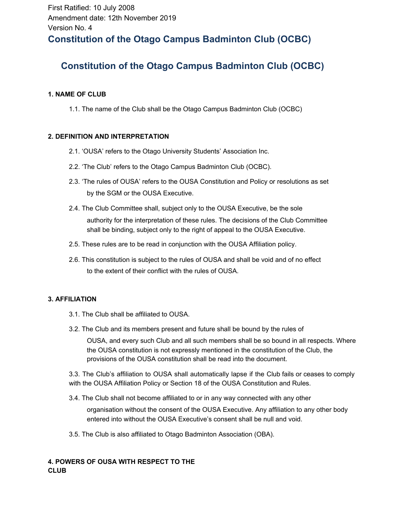# **Constitution of the Otago Campus Badminton Club (OCBC)**

## **1. NAME OF CLUB**

1.1. The name of the Club shall be the Otago Campus Badminton Club (OCBC)

## **2. DEFINITION AND INTERPRETATION**

- 2.1. 'OUSA' refers to the Otago University Students' Association Inc.
- 2.2. 'The Club' refers to the Otago Campus Badminton Club (OCBC).
- 2.3. 'The rules of OUSA' refers to the OUSA Constitution and Policy or resolutions as set by the SGM or the OUSA Executive.
- 2.4. The Club Committee shall, subject only to the OUSA Executive, be the sole authority for the interpretation of these rules. The decisions of the Club Committee shall be binding, subject only to the right of appeal to the OUSA Executive.
- 2.5. These rules are to be read in conjunction with the OUSA Affiliation policy.
- 2.6. This constitution is subject to the rules of OUSA and shall be void and of no effect to the extent of their conflict with the rules of OUSA.

## **3. AFFILIATION**

- 3.1. The Club shall be affiliated to OUSA.
- 3.2. The Club and its members present and future shall be bound by the rules of

OUSA, and every such Club and all such members shall be so bound in all respects. Where the OUSA constitution is not expressly mentioned in the constitution of the Club, the provisions of the OUSA constitution shall be read into the document.

3.3. The Club's affiliation to OUSA shall automatically lapse if the Club fails or ceases to comply with the OUSA Affiliation Policy or Section 18 of the OUSA Constitution and Rules.

3.4. The Club shall not become affiliated to or in any way connected with any other

organisation without the consent of the OUSA Executive. Any affiliation to any other body entered into without the OUSA Executive's consent shall be null and void.

3.5. The Club is also affiliated to Otago Badminton Association (OBA).

## **4. POWERS OF OUSA WITH RESPECT TO THE CLUB**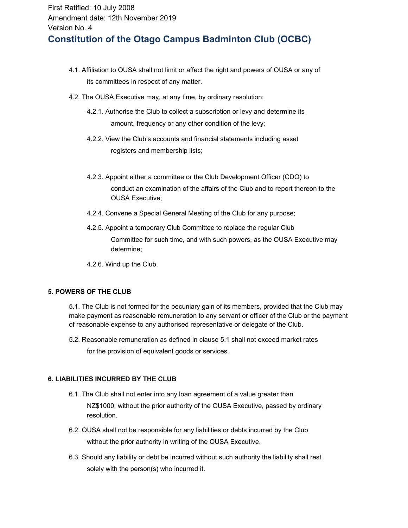- 4.1. Affiliation to OUSA shall not limit or affect the right and powers of OUSA or any of its committees in respect of any matter.
- 4.2. The OUSA Executive may, at any time, by ordinary resolution:
	- 4.2.1. Authorise the Club to collect a subscription or levy and determine its amount, frequency or any other condition of the levy;
	- 4.2.2. View the Club's accounts and financial statements including asset registers and membership lists;
	- 4.2.3. Appoint either a committee or the Club Development Officer (CDO) to conduct an examination of the affairs of the Club and to report thereon to the OUSA Executive;
	- 4.2.4. Convene a Special General Meeting of the Club for any purpose;
	- 4.2.5. Appoint a temporary Club Committee to replace the regular Club Committee for such time, and with such powers, as the OUSA Executive may determine;
	- 4.2.6. Wind up the Club.

## **5. POWERS OF THE CLUB**

5.1. The Club is not formed for the pecuniary gain of its members, provided that the Club may make payment as reasonable remuneration to any servant or officer of the Club or the payment of reasonable expense to any authorised representative or delegate of the Club.

5.2. Reasonable remuneration as defined in clause 5.1 shall not exceed market rates for the provision of equivalent goods or services.

## **6. LIABILITIES INCURRED BY THE CLUB**

- 6.1. The Club shall not enter into any loan agreement of a value greater than NZ\$1000, without the prior authority of the OUSA Executive, passed by ordinary resolution.
- 6.2. OUSA shall not be responsible for any liabilities or debts incurred by the Club without the prior authority in writing of the OUSA Executive.
- 6.3. Should any liability or debt be incurred without such authority the liability shall rest solely with the person(s) who incurred it.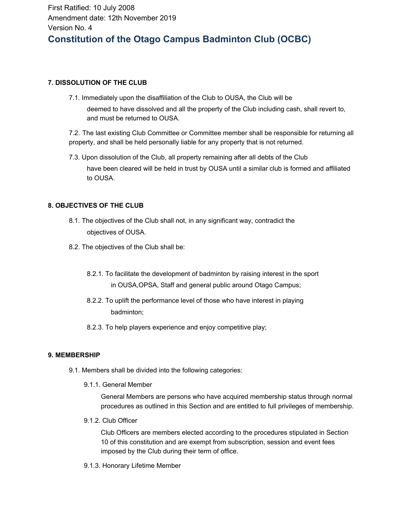## **7. DISSOLUTION OF THE CLUB**

7.1. Immediately upon the disaffiliation of the Club to OUSA, the Club will be

deemed to have dissolved and all the property of the Club including cash, shall revert to, and must be returned to OUSA.

7.2. The last existing Club Committee or Committee member shall be responsible for returning all property, and shall be held personally liable for any property that is not returned.

7.3. Upon dissolution of the Club, all property remaining after all debts of the Club

have been cleared will be held in trust by OUSA until a similar club is formed and affiliated to OUSA.

## **8. OBJECTIVES OF THE CLUB**

- 8.1. The objectives of the Club shall not, in any significant way, contradict the objectives of OUSA.
- 8.2. The objectives of the Club shall be:
	- 8.2.1. To facilitate the development of badminton by raising interest in the sport in OUSA,OPSA, Staff and general public around Otago Campus;
	- 8.2.2. To uplift the performance level of those who have interest in playing badminton;
	- 8.2.3. To help players experience and enjoy competitive play;

## **9. MEMBERSHIP**

- 9.1. Members shall be divided into the following categories:
	- 9.1.1. General Member

General Members are persons who have acquired membership status through normal procedures as outlined in this Section and are entitled to full privileges of membership.

9.1.2. Club Officer

Club Officers are members elected according to the procedures stipulated in Section 10 of this constitution and are exempt from subscription, session and event fees imposed by the Club during their term of office.

9.1.3. Honorary Lifetime Member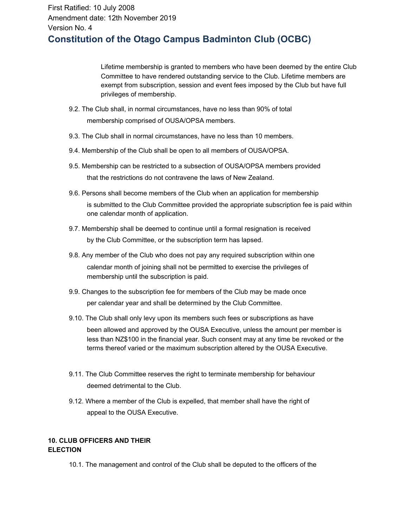Lifetime membership is granted to members who have been deemed by the entire Club Committee to have rendered outstanding service to the Club. Lifetime members are exempt from subscription, session and event fees imposed by the Club but have full privileges of membership.

- 9.2. The Club shall, in normal circumstances, have no less than 90% of total membership comprised of OUSA/OPSA members.
- 9.3. The Club shall in normal circumstances, have no less than 10 members.
- 9.4. Membership of the Club shall be open to all members of OUSA/OPSA.
- 9.5. Membership can be restricted to a subsection of OUSA/OPSA members provided that the restrictions do not contravene the laws of New Zealand.
- 9.6. Persons shall become members of the Club when an application for membership is submitted to the Club Committee provided the appropriate subscription fee is paid within one calendar month of application.
- 9.7. Membership shall be deemed to continue until a formal resignation is received by the Club Committee, or the subscription term has lapsed.
- 9.8. Any member of the Club who does not pay any required subscription within one calendar month of joining shall not be permitted to exercise the privileges of membership until the subscription is paid.
- 9.9. Changes to the subscription fee for members of the Club may be made once per calendar year and shall be determined by the Club Committee.
- 9.10. The Club shall only levy upon its members such fees or subscriptions as have been allowed and approved by the OUSA Executive, unless the amount per member is less than NZ\$100 in the financial year. Such consent may at any time be revoked or the terms thereof varied or the maximum subscription altered by the OUSA Executive.
- 9.11. The Club Committee reserves the right to terminate membership for behaviour deemed detrimental to the Club.
- 9.12. Where a member of the Club is expelled, that member shall have the right of appeal to the OUSA Executive.

## **10. CLUB OFFICERS AND THEIR ELECTION**

10.1. The management and control of the Club shall be deputed to the officers of the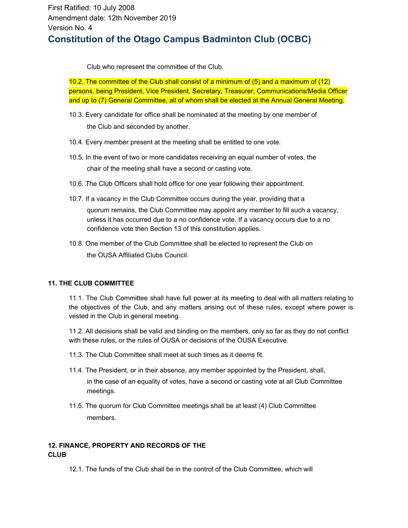Club who represent the committee of the Club.

10.2. The committee of the Club shall consist of a minimum of (5) and a maximum of (12) persons, being President, Vice President, Secretary, Treasurer, Communications/Media Officer and up to (7) General Committee, all of whom shall be elected at the Annual General Meeting.

- 10.3. Every candidate for office shall be nominated at the meeting by one member of the Club and seconded by another.
- 10.4. Every member present at the meeting shall be entitled to one vote.
- 10.5. In the event of two or more candidates receiving an equal number of votes, the chair of the meeting shall have a second or casting vote.
- 10.6. The Club Officers shall hold office for one year following their appointment.
- 10.7. If a vacancy in the Club Committee occurs during the year, providing that a quorum remains, the Club Committee may appoint any member to fill such a vacancy, unless it has occurred due to a no confidence vote. If a vacancy occurs due to a no confidence vote then Section 13 of this constitution applies.
- 10.8. One member of the Club Committee shall be elected to represent the Club on the OUSA Affiliated Clubs Council.

## **11. THE CLUB COMMITTEE**

11.1. The Club Committee shall have full power at its meeting to deal with all matters relating to the objectives of the Club, and any matters arising out of these rules, except where power is vested in the Club in general meeting.

11.2. All decisions shall be valid and binding on the members, only so far as they do not conflict with these rules, or the rules of OUSA or decisions of the OUSA Executive.

- 11.3. The Club Committee shall meet at such times as it deems fit.
- 11.4. The President, or in their absence, any member appointed by the President, shall, in the case of an equality of votes, have a second or casting vote at all Club Committee meetings.
- 11.5. The quorum for Club Committee meetings shall be at least (4) Club Committee members.

## **12. FINANCE, PROPERTY AND RECORDS OF THE CLUB**

12.1. The funds of the Club shall be in the control of the Club Committee, which will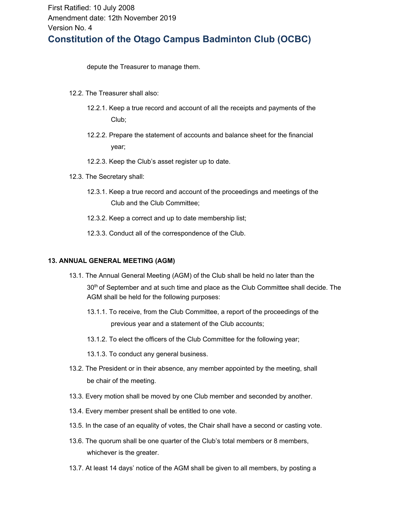depute the Treasurer to manage them.

- 12.2. The Treasurer shall also:
	- 12.2.1. Keep a true record and account of all the receipts and payments of the Club;
	- 12.2.2. Prepare the statement of accounts and balance sheet for the financial year;
	- 12.2.3. Keep the Club's asset register up to date.
- 12.3. The Secretary shall:
	- 12.3.1. Keep a true record and account of the proceedings and meetings of the Club and the Club Committee;
	- 12.3.2. Keep a correct and up to date membership list;
	- 12.3.3. Conduct all of the correspondence of the Club.

#### **13. ANNUAL GENERAL MEETING (AGM)**

- 13.1. The Annual General Meeting (AGM) of the Club shall be held no later than the 30<sup>th</sup> of September and at such time and place as the Club Committee shall decide. The AGM shall be held for the following purposes:
	- 13.1.1. To receive, from the Club Committee, a report of the proceedings of the previous year and a statement of the Club accounts;
	- 13.1.2. To elect the officers of the Club Committee for the following year;
	- 13.1.3. To conduct any general business.
- 13.2. The President or in their absence, any member appointed by the meeting, shall be chair of the meeting.
- 13.3. Every motion shall be moved by one Club member and seconded by another.
- 13.4. Every member present shall be entitled to one vote.
- 13.5. In the case of an equality of votes, the Chair shall have a second or casting vote.
- 13.6. The quorum shall be one quarter of the Club's total members or 8 members, whichever is the greater.
- 13.7. At least 14 days' notice of the AGM shall be given to all members, by posting a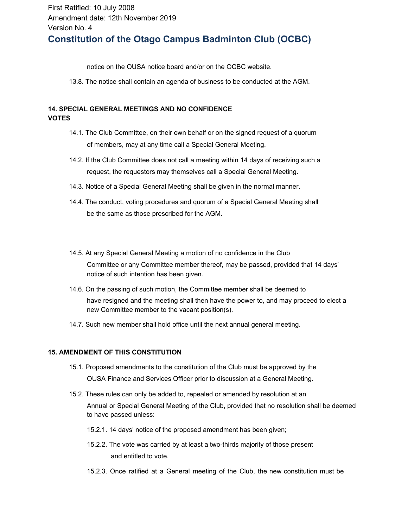notice on the OUSA notice board and/or on the OCBC website.

13.8. The notice shall contain an agenda of business to be conducted at the AGM.

## **14. SPECIAL GENERAL MEETINGS AND NO CONFIDENCE VOTES**

- 14.1. The Club Committee, on their own behalf or on the signed request of a quorum of members, may at any time call a Special General Meeting.
- 14.2. If the Club Committee does not call a meeting within 14 days of receiving such a request, the requestors may themselves call a Special General Meeting.
- 14.3. Notice of a Special General Meeting shall be given in the normal manner.
- 14.4. The conduct, voting procedures and quorum of a Special General Meeting shall be the same as those prescribed for the AGM.
- 14.5. At any Special General Meeting a motion of no confidence in the Club Committee or any Committee member thereof, may be passed, provided that 14 days' notice of such intention has been given.
- 14.6. On the passing of such motion, the Committee member shall be deemed to have resigned and the meeting shall then have the power to, and may proceed to elect a new Committee member to the vacant position(s).
- 14.7. Such new member shall hold office until the next annual general meeting.

## **15. AMENDMENT OF THIS CONSTITUTION**

- 15.1. Proposed amendments to the constitution of the Club must be approved by the OUSA Finance and Services Officer prior to discussion at a General Meeting.
- 15.2. These rules can only be added to, repealed or amended by resolution at an Annual or Special General Meeting of the Club, provided that no resolution shall be deemed to have passed unless:
	- 15.2.1. 14 days' notice of the proposed amendment has been given;
	- 15.2.2. The vote was carried by at least a two-thirds majority of those present and entitled to vote.
	- 15.2.3. Once ratified at a General meeting of the Club, the new constitution must be